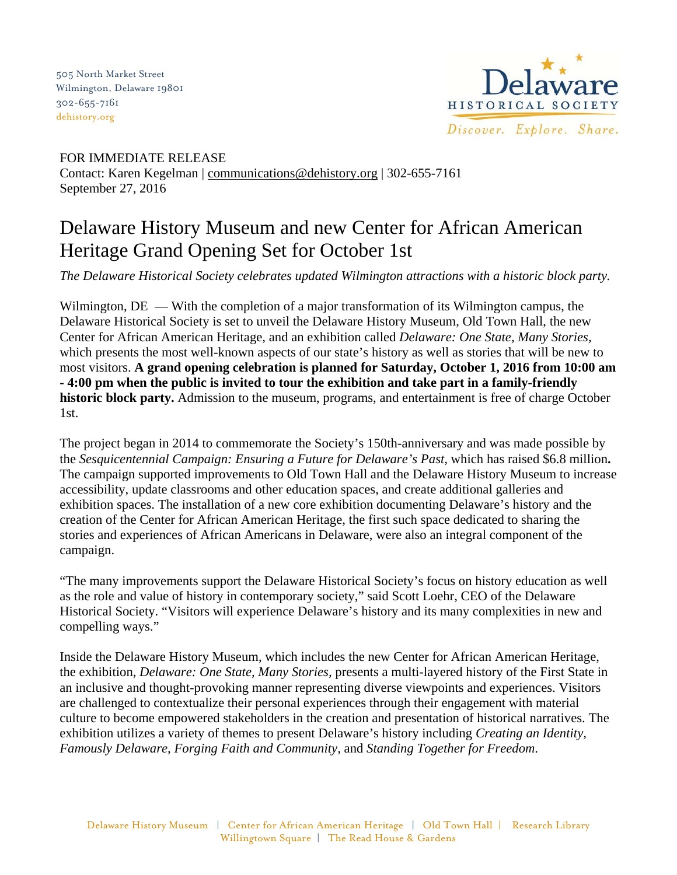505 North Market Street Wilmington, Delaware 19801 302-655-7161 [dehistory.org](http://dehistory.org/)



FOR IMMEDIATE RELEASE Contact: Karen Kegelman | communications@dehistory.org | 302-655-7161 September 27, 2016

## Delaware History Museum and new Center for African American Heritage Grand Opening Set for October 1st

*The Delaware Historical Society celebrates updated Wilmington attractions with a historic block party.* 

Wilmington,  $DE$  — With the completion of a major transformation of its Wilmington campus, the Delaware Historical Society is set to unveil the Delaware History Museum, Old Town Hall, the new Center for African American Heritage, and an exhibition called *Delaware: One State, Many Stories,*  which presents the most well-known aspects of our state's history as well as stories that will be new to most visitors. **A grand opening celebration is planned for Saturday, October 1, 2016 from 10:00 am - 4:00 pm when the public is invited to tour the exhibition and take part in a family-friendly historic block party.** Admission to the museum, programs, and entertainment is free of charge October 1st.

The project began in 2014 to commemorate the Society's 150th-anniversary and was made possible by the *Sesquicentennial Campaign: Ensuring a Future for Delaware's Past,* which has raised \$6.8 million**.**  The campaign supported improvements to Old Town Hall and the Delaware History Museum to increase accessibility, update classrooms and other education spaces, and create additional galleries and exhibition spaces. The installation of a new core exhibition documenting Delaware's history and the creation of the Center for African American Heritage, the first such space dedicated to sharing the stories and experiences of African Americans in Delaware, were also an integral component of the campaign.

"The many improvements support the Delaware Historical Society's focus on history education as well as the role and value of history in contemporary society," said Scott Loehr, CEO of the Delaware Historical Society. "Visitors will experience Delaware's history and its many complexities in new and compelling ways."

Inside the Delaware History Museum, which includes the new Center for African American Heritage, the exhibition, *Delaware: One State, Many Stories,* presents a multi-layered history of the First State in an inclusive and thought-provoking manner representing diverse viewpoints and experiences. Visitors are challenged to contextualize their personal experiences through their engagement with material culture to become empowered stakeholders in the creation and presentation of historical narratives. The exhibition utilizes a variety of themes to present Delaware's history including *Creating an Identity, Famously Delaware, Forging Faith and Community,* and *Standing Together for Freedom*.